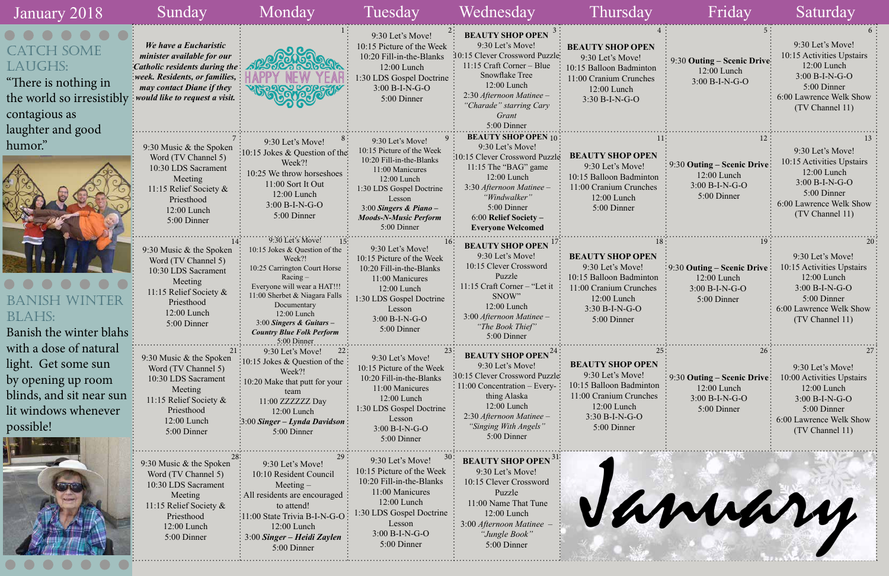| January 2018                                                                                                                         | Sunday                                                                                                                                                                                                     | Monday                                                                                                                                                                                                                                                                                            | Tuesday                                                                                                                                                                                                                      | Wednesday                                                                                                                                                                                                                                    | Thursday                                                                                                                                           | Friday                                                                                    | Saturday                                                                                                                                        |
|--------------------------------------------------------------------------------------------------------------------------------------|------------------------------------------------------------------------------------------------------------------------------------------------------------------------------------------------------------|---------------------------------------------------------------------------------------------------------------------------------------------------------------------------------------------------------------------------------------------------------------------------------------------------|------------------------------------------------------------------------------------------------------------------------------------------------------------------------------------------------------------------------------|----------------------------------------------------------------------------------------------------------------------------------------------------------------------------------------------------------------------------------------------|----------------------------------------------------------------------------------------------------------------------------------------------------|-------------------------------------------------------------------------------------------|-------------------------------------------------------------------------------------------------------------------------------------------------|
| CATCH SOME<br>LAUGHS:<br>"There is nothing in<br>the world so irresistibly<br>contagious as                                          | We have a Eucharistic<br>minister available for our<br>Catholic residents during the:<br><i><b>week. Residents, or families,</b></i><br>may contact Diane if they<br><i>would like to request a visit.</i> |                                                                                                                                                                                                                                                                                                   | 9:30 Let's Move!<br>10:15 Picture of the Week<br>10:20 Fill-in-the-Blanks<br>12:00 Lunch<br>1:30 LDS Gospel Doctrine<br>$3:00 B-I-N-G-O$<br>5:00 Dinner                                                                      | <b>BEAUTY SHOP OPEN</b><br>9:30 Let's Move!<br>10:15 Clever Crossword Puzzle-<br>$11:15$ Craft Corner – Blue<br>Snowflake Tree<br>12:00 Lunch<br>2:30 Afternoon Matinee -<br>"Charade" starring Cary<br>Grant<br>5:00 Dinner                 | <b>BEAUTY SHOP OPEN</b><br>9:30 Let's Move!<br>10:15 Balloon Badminton<br>11:00 Cranium Crunches<br>12:00 Lunch<br>3:30 B-I-N-G-O                  | 9:30 Outing - Scenic Drive:<br>$12:00$ Lunch<br>3:00 B-I-N-G-O                            | 9:30 Let's Move!<br>10:15 Activities Upstairs<br>12:00 Lunch<br>$3:00 B-I-N-G-O$<br>5:00 Dinner<br>6:00 Lawrence Welk Show<br>(TV Channel 11)   |
| laughter and good<br>humor."                                                                                                         | 9:30 Music & the Spoken<br>Word (TV Channel 5)<br>10:30 LDS Sacrament<br>Meeting<br>11:15 Relief Society &<br>Priesthood<br>12:00 Lunch<br>5:00 Dinner                                                     | 9:30 Let's Move!<br>:10:15 Jokes & Question of the<br>Week?!<br>10:25 We throw horseshoes<br>11:00 Sort It Out<br>12:00 Lunch<br>$3:00 B-I-N-G-O$<br>5:00 Dinner                                                                                                                                  | 9:30 Let's Move!<br>10:15 Picture of the Week<br>10:20 Fill-in-the-Blanks<br>11:00 Manicures<br>12:00 Lunch<br>1:30 LDS Gospel Doctrine<br>Lesson<br>$3:00$ Singers & Piano -<br><b>Moods-N-Music Perform</b><br>5:00 Dinner | <b>BEAUTY SHOP OPEN 10</b><br>9:30 Let's Move!<br>:10:15 Clever Crossword Puzzle<br>11:15 The "BAG" game<br>12:00 Lunch<br>3:30 Afternoon Matinee -<br>"Windwalker"<br>5:00 Dinner<br>6:00 Relief Society -<br><b>Everyone Welcomed</b>      | <b>BEAUTY SHOP OPEN</b><br>9:30 Let's Move!<br>10:15 Balloon Badminton<br>11:00 Cranium Crunches<br>$12:00$ Lunch<br>5:00 Dinner                   | $: 9:30$ Outing – Scenic Drive<br>$12:00$ Lunch<br>$3:00 B-I-N-G-O$<br>5:00 Dinner        | 9:30 Let's Move!<br>10:15 Activities Upstairs<br>$12:00$ Lunch<br>3:00 B-I-N-G-O<br>5:00 Dinner<br>6:00 Lawrence Welk Show<br>(TV Channel 11)   |
| BLAHS:<br>Banish the winter blahs $\vdots$                                                                                           | 9:30 Music & the Spoken<br>Word (TV Channel 5)<br>10:30 LDS Sacrament<br>Meeting<br>11:15 Relief Society &<br>Priesthood<br>12:00 Lunch<br>5:00 Dinner                                                     | $9:30$ Let's Move!<br>15:<br>10:15 Jokes & Question of the<br>Week?!<br>10:25 Carrington Court Horse<br>$Racing -$<br>Everyone will wear a HAT!!!<br>11:00 Sherbet & Niagara Falls<br>Documentary<br>12:00 Lunch<br>$3:00$ Singers & Guitars -<br><b>Country Blue Folk Perform</b><br>5:00 Dinner | 9:30 Let's Move!<br>10:15 Picture of the Week<br>10:20 Fill-in-the-Blanks<br>11:00 Manicures<br>12:00 Lunch<br>1:30 LDS Gospel Doctrine<br>Lesson<br>3:00 B-I-N-G-O<br>5:00 Dinner                                           | <b>BEAUTY SHOP OPEN</b><br>9:30 Let's Move!<br>10:15 Clever Crossword<br>Puzzle<br>11:15 Craft Corner – "Let it<br>SNOW"<br>12:00 Lunch<br>3:00 Afternoon Matinee -<br>"The Book Thief"<br>5:00 Dinner                                       | <b>BEAUTY SHOP OPEN</b><br>9:30 Let's Move!<br>10:15 Balloon Badminton<br>11:00 Cranium Crunches<br>12:00 Lunch<br>$3:30 B-I-N-G-O$<br>5:00 Dinner | $\frac{1}{2}9:30$ Outing – Scenic Drive<br>12:00 Lunch<br>$3:00 B-I-N-G-O$<br>5:00 Dinner | 9:30 Let's Move!<br>10:15 Activities Upstairs<br>$12:00$ Lunch<br>$3:00 B-I-N-G-O$<br>5:00 Dinner<br>6:00 Lawrence Welk Show<br>(TV Channel 11) |
| with a dose of natural<br>light. Get some sun<br>by opening up room<br>blinds, and sit near sun<br>lit windows whenever<br>possible! | 9:30 Music & the Spoken<br>Word (TV Channel 5)<br>10:30 LDS Sacrament<br>Meeting<br>11:15 Relief Society &<br>Priesthood<br>12:00 Lunch<br>5:00 Dinner                                                     | 9:30 Let's Move!<br>:10:15 Jokes & Question of the :<br>Week?!<br>10:20 Make that putt for your<br>team<br>11:00 ZZZZZZZ Day<br>12:00 Lunch<br>$:3:00$ Singer – Lynda Davidson<br>5:00 Dinner                                                                                                     | 9:30 Let's Move!<br>10:15 Picture of the Week<br>10:20 Fill-in-the-Blanks<br>11:00 Manicures<br>12:00 Lunch<br>1:30 LDS Gospel Doctrine<br>Lesson<br>$3:00 B-I-N-G-O$<br>5:00 Dinner                                         | <b>BEAUTY SHOP OPEN</b> <sup>24</sup><br>9:30 Let's Move!<br>:10:15 Clever Crossword Puzzle<br>$\frac{1}{2}$ 11:00 Concentration – Every-<br>thing Alaska<br>12:00 Lunch<br>2:30 Afternoon Matinee -<br>"Singing With Angels"<br>5:00 Dinner | <b>BEAUTY SHOP OPEN</b><br>9:30 Let's Move!<br>10:15 Balloon Badminton<br>11:00 Cranium Crunches<br>12:00 Lunch<br>$3:30 B-I-N-G-O$<br>5:00 Dinner | 9:30 Outing – Scenic Drive<br>12:00 Lunch<br>3:00 B-I-N-G-O<br>5:00 Dinner                | 9:30 Let's Move!<br>10:00 Activities Upstairs<br>12:00 Lunch<br>$3:00 B-I-N-G-O$<br>5:00 Dinner<br>6:00 Lawrence Welk Show<br>(TV Channel 11)   |
|                                                                                                                                      | 9:30 Music & the Spoken<br>Word (TV Channel 5)<br>10:30 LDS Sacrament<br>Meeting<br>11:15 Relief Society &<br>Priesthood<br>12:00 Lunch<br>5:00 Dinner                                                     | 9:30 Let's Move!<br>10:10 Resident Council<br>$M$ eeting $-$<br>All residents are encouraged<br>to attend!<br>$:11:00$ State Trivia B-I-N-G-O<br>12:00 Lunch<br>3:00 Singer – Heidi Zaylen<br>5:00 Dinner                                                                                         | 9:30 Let's Move!<br>10:15 Picture of the Week<br>10:20 Fill-in-the-Blanks<br>11:00 Manicures<br>12:00 Lunch<br>1:30 LDS Gospel Doctrine<br>Lesson<br>$3:00 B-I-N-G-O$<br>5:00 Dinner                                         | <b>BEAUTY SHOP OPEN</b><br>9:30 Let's Move!<br>10:15 Clever Crossword<br>Puzzle<br>11:00 Name That Tune<br>12:00 Lunch<br>3:00 Afternoon Matinee<br>"Jungle Book"<br>5:00 Dinner                                                             |                                                                                                                                                    | Vanuary                                                                                   |                                                                                                                                                 |

. . . . . . .